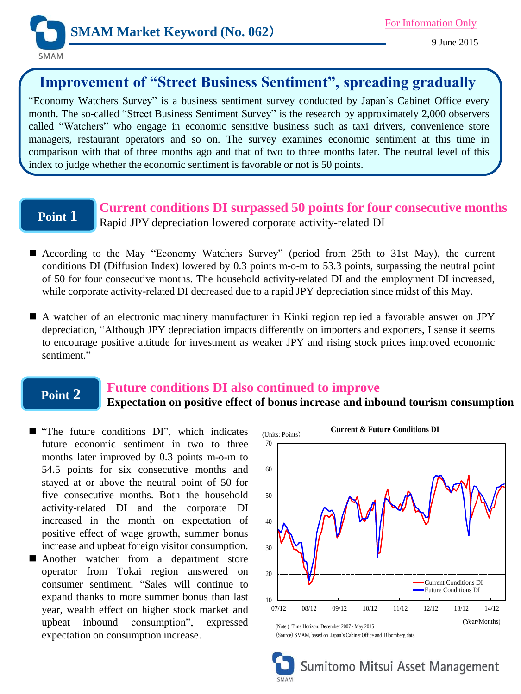

# **Improvement of "Street Business Sentiment", spreading gradually**

"Economy Watchers Survey" is a business sentiment survey conducted by Japan's Cabinet Office every month. The so-called "Street Business Sentiment Survey" is the research by approximately 2,000 observers called "Watchers" who engage in economic sensitive business such as taxi drivers, convenience store managers, restaurant operators and so on. The survey examines economic sentiment at this time in comparison with that of three months ago and that of two to three months later. The neutral level of this index to judge whether the economic sentiment is favorable or not is 50 points.

# **Point 1**

**Current conditions DI surpassed 50 points for four consecutive months** Rapid JPY depreciation lowered corporate activity-related DI

- According to the May "Economy Watchers Survey" (period from 25th to 31st May), the current conditions DI (Diffusion Index) lowered by 0.3 points m-o-m to 53.3 points, surpassing the neutral point of 50 for four consecutive months. The household activity-related DI and the employment DI increased, while corporate activity-related DI decreased due to a rapid JPY depreciation since midst of this May.
- A watcher of an electronic machinery manufacturer in Kinki region replied a favorable answer on JPY depreciation, "Although JPY depreciation impacts differently on importers and exporters, I sense it seems to encourage positive attitude for investment as weaker JPY and rising stock prices improved economic sentiment."

## **Point 2**

### **Future conditions DI also continued to improve**

### **Expectation on positive effect of bonus increase and inbound tourism consumption**

- $\blacksquare$  "The future conditions DI", which indicates future economic sentiment in two to three months later improved by 0.3 points m-o-m to 54.5 points for six consecutive months and stayed at or above the neutral point of 50 for five consecutive months. Both the household activity-related DI and the corporate DI increased in the month on expectation of positive effect of wage growth, summer bonus increase and upbeat foreign visitor consumption.
- **Another** watcher from a department store operator from Tokai region answered on consumer sentiment, "Sales will continue to expand thanks to more summer bonus than last year, wealth effect on higher stock market and upbeat inbound consumption", expressed expectation on consumption increase.



Sumitomo Mitsui Asset Management